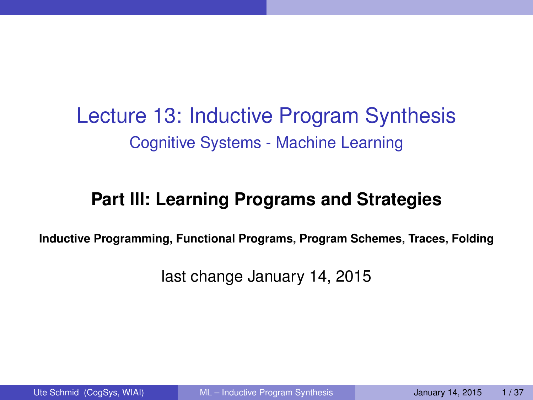Lecture 13: Inductive Program Synthesis Cognitive Systems - Machine Learning

### **Part III: Learning Programs and Strategies**

**Inductive Programming, Functional Programs, Program Schemes, Traces, Folding**

<span id="page-0-0"></span>last change January 14, 2015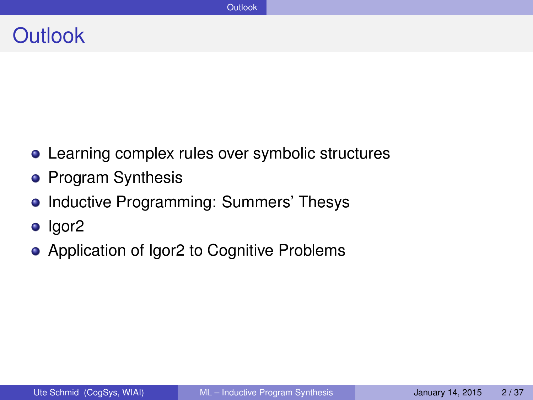### **Outlook**

- Learning complex rules over symbolic structures
- **•** Program Synthesis
- Inductive Programming: Summers' Thesys
- o lgor<sub>2</sub>
- Application of Igor2 to Cognitive Problems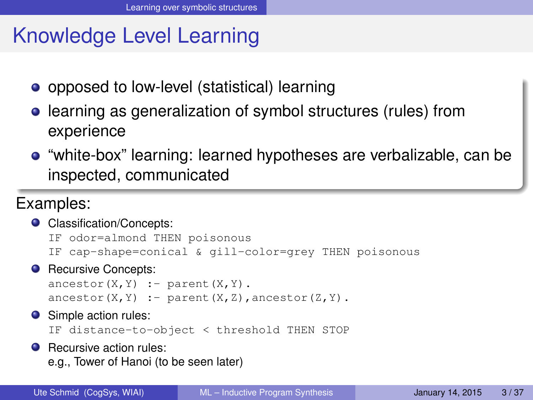# Knowledge Level Learning

- opposed to low-level (statistical) learning
- learning as generalization of symbol structures (rules) from experience
- "white-box" learning: learned hypotheses are verbalizable, can be inspected, communicated

### Examples:

● Classification/Concepts:

```
IF odor=almond THEN poisonous
IF cap-shape=conical & gill-color=grey THEN poisonous
```
**•** Recursive Concepts:

```
\text{arcestor}(X, Y) :- parent(X, Y).
\text{arcestor}(X, Y) := \text{parent}(X, Z), ancestor(Z, Y).
```
**O** Simple action rules:

```
IF distance-to-object < threshold THEN STOP
```
**C** Recursive action rules: e.g., Tower of Hanoi (to be seen later)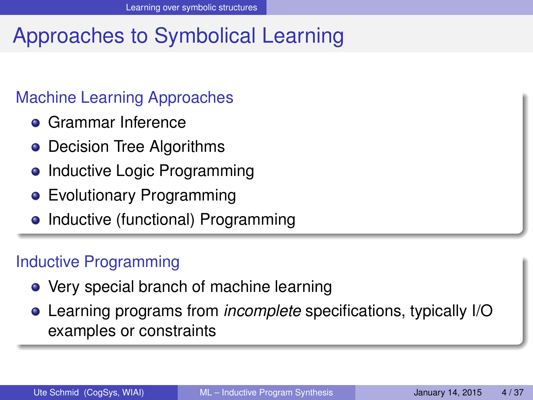# Approaches to Symbolical Learning

#### Machine Learning Approaches

- **Grammar Inference**
- Decision Tree Algorithms
- Inductive Logic Programming
- **•** Evolutionary Programming
- Inductive (functional) Programming

### Inductive Programming

- Very special branch of machine learning
- Learning programs from *incomplete* specifications, typically I/O examples or constraints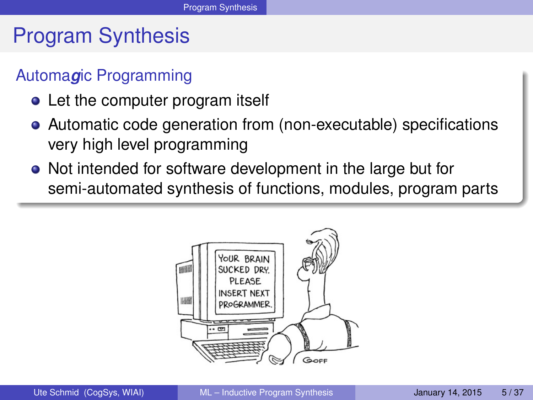# Program Synthesis

#### Automa*g*ic Programming

- Let the computer program itself
- Automatic code generation from (non-executable) specifications very high level programming
- Not intended for software development in the large but for semi-automated synthesis of functions, modules, program parts

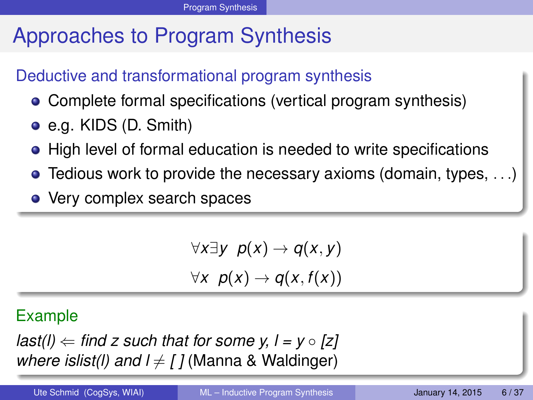# Approaches to Program Synthesis

#### Deductive and transformational program synthesis

- Complete formal specifications (vertical program synthesis)
- e.g. KIDS (D. Smith)
- High level of formal education is needed to write specifications
- $\bullet$  Tedious work to provide the necessary axioms (domain, types, ...)
- Very complex search spaces

$$
\forall x \exists y \ p(x) \rightarrow q(x, y)
$$
  

$$
\forall x \ p(x) \rightarrow q(x, f(x))
$$

#### Example

*last(l)*  $\Leftarrow$  *find z such that for some y, l = y*  $\circ$  *[z] where islist(I) and*  $l \neq l$  *(Manna & Waldinger)*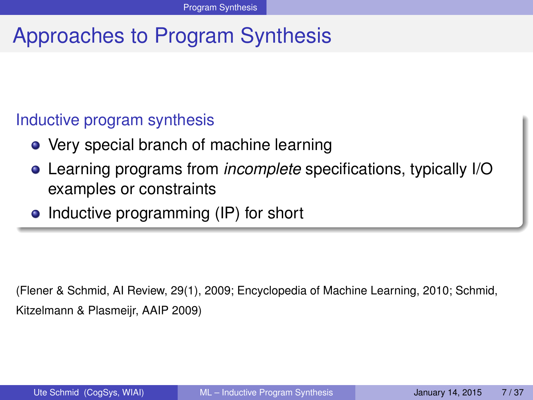# Approaches to Program Synthesis

#### Inductive program synthesis

- Very special branch of machine learning
- Learning programs from *incomplete* specifications, typically I/O examples or constraints
- Inductive programming (IP) for short

(Flener & Schmid, AI Review, 29(1), 2009; Encyclopedia of Machine Learning, 2010; Schmid, Kitzelmann & Plasmeijr, AAIP 2009)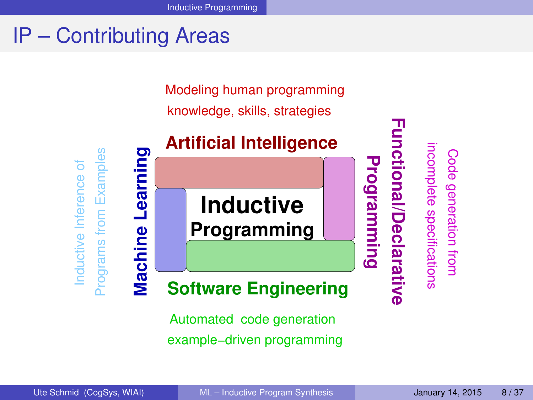# IP – Contributing Areas

Modeling human programming

knowledge, skills, strategies



Automated code generation example−driven programming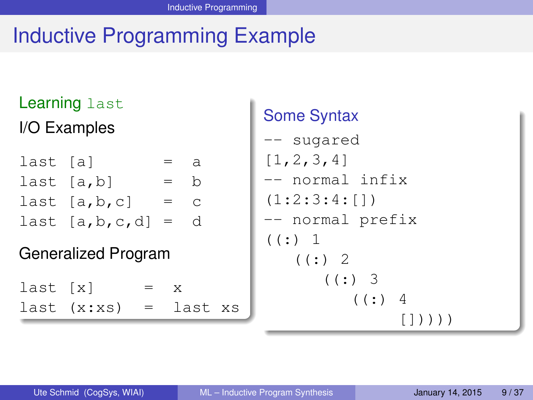# Inductive Programming Example

### Learning last I/O Examples

| last [a] |                    | $=$          | a |
|----------|--------------------|--------------|---|
|          | last $[a,b]$       | $=$ h        |   |
|          | last $[a, b, c]$   | $=$ $\alpha$ |   |
|          | last $[a,b,c,d]$ = |              | d |

#### Generalized Program

 $last [x] = x$  $last (x:xs) = last xs$ 

### Some Syntax

```
-- sugared
[1,2,3,4]
-- normal infix
(1:2:3:4:[])
-- normal prefix
(: ) 1
   (: ) 2
       ((:) 3)( ( : ) 4
                [1))))
```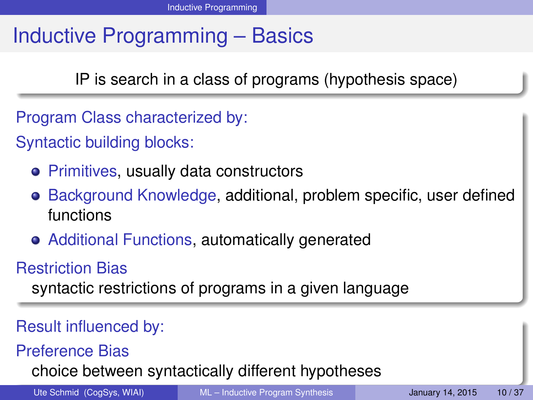# Inductive Programming – Basics

IP is search in a class of programs (hypothesis space)

- Program Class characterized by:
- Syntactic building blocks:
	- Primitives, usually data constructors
	- Background Knowledge, additional, problem specific, user defined functions
	- Additional Functions, automatically generated

### Restriction Bias

syntactic restrictions of programs in a given language

#### Result influenced by:

Preference Bias

choice between syntactically different hypotheses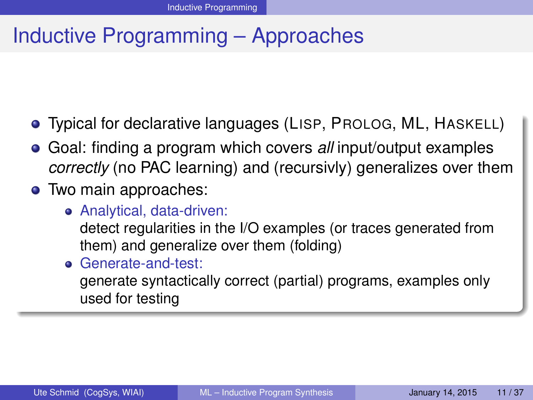## Inductive Programming – Approaches

- Typical for declarative languages (LISP, PROLOG, ML, HASKELL)
- Goal: finding a program which covers *all* input/output examples *correctly* (no PAC learning) and (recursivly) generalizes over them
- Two main approaches:
	- Analytical, data-driven:

detect regularities in the I/O examples (or traces generated from them) and generalize over them (folding)

Generate-and-test:

generate syntactically correct (partial) programs, examples only used for testing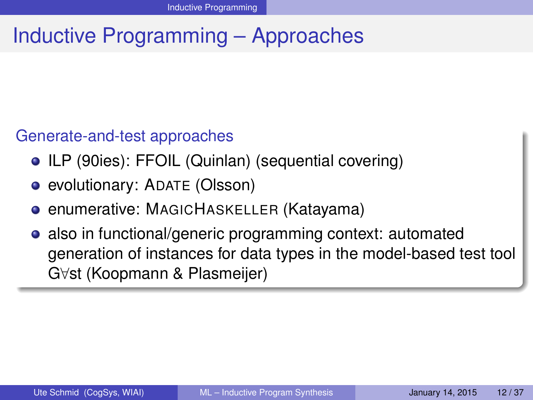# Inductive Programming – Approaches

#### Generate-and-test approaches

- ILP (90ies): FFOIL (Quinlan) (sequential covering)
- evolutionary: ADATE (Olsson)
- **enumerative: MAGICHASKELLER (Katayama)**
- also in functional/generic programming context: automated generation of instances for data types in the model-based test tool G∀st (Koopmann & Plasmeijer)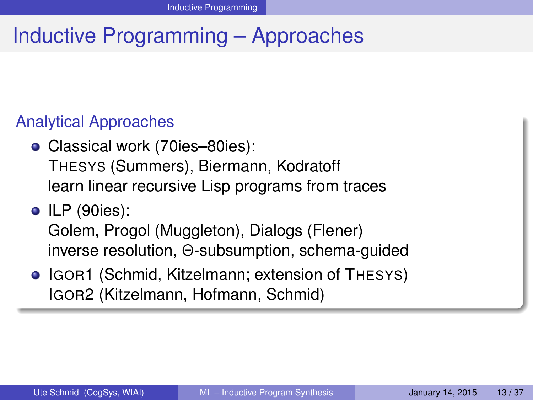# Inductive Programming – Approaches

#### Analytical Approaches

- Classical work (70ies–80ies): THESYS (Summers), Biermann, Kodratoff learn linear recursive Lisp programs from traces
- ILP (90ies):

Golem, Progol (Muggleton), Dialogs (Flener) inverse resolution, Θ-subsumption, schema-guided

• IGOR1 (Schmid, Kitzelmann; extension of THESYS) IGOR2 (Kitzelmann, Hofmann, Schmid)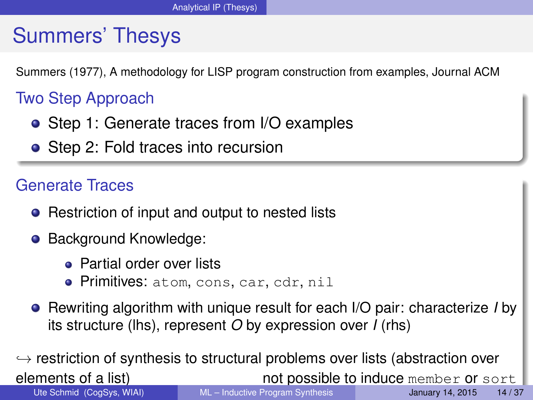## Summers' Thesys

Summers (1977), A methodology for LISP program construction from examples, Journal ACM

### Two Step Approach

- Step 1: Generate traces from I/O examples
- Step 2: Fold traces into recursion

#### Generate Traces

- Restriction of input and output to nested lists
- **Background Knowledge:** 
	- **Partial order over lists**
	- Primitives: atom, cons, car, cdr, nil
- Rewriting algorithm with unique result for each I/O pair: characterize *I* by its structure (lhs), represent *O* by expression over *I* (rhs)

 $\hookrightarrow$  restriction of synthesis to structural problems over lists (abstraction over elements of a list)<br>not possible to induce member or so. not possible to induce member or sort Ute Schmid (CogSys, WIAI) [ML – Inductive Program Synthesis](#page-0-0) January 14, 2015 14/37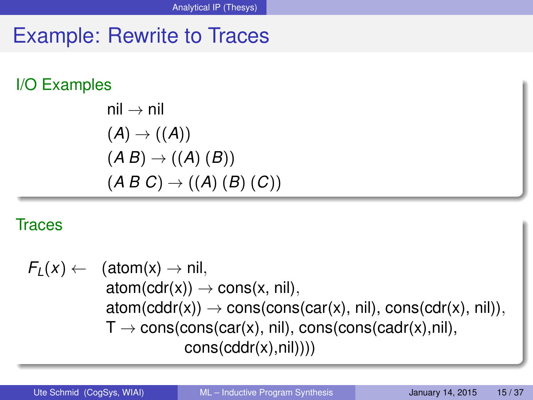### Example: Rewrite to Traces

#### I/O Examples

nil 
$$
\rightarrow
$$
 nil  
\n(A)  $\rightarrow$  ((A))  
\n(A B)  $\rightarrow$  ((A) (B))  
\n(A B C)  $\rightarrow$  ((A) (B) (C))

#### Traces

 $F_L(x) \leftarrow$  (atom(x)  $\rightarrow$  nil,  $atom(cdr(x)) \rightarrow cons(x, nil),$  $atom(cddr(x)) \rightarrow cons(cons(car(x), nil), cons(cdr(x), nil)),$  $T \rightarrow \text{cons}(\text{cons}(\text{car}(x), \text{nil}), \text{cons}(\text{cons}(\text{cadr}(x), \text{nil}),$ cons(cddr(x),nil))))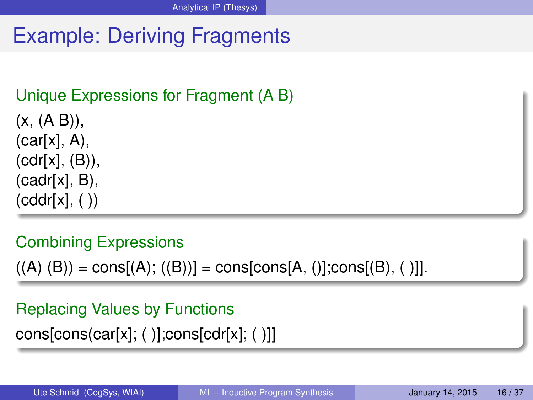# Example: Deriving Fragments

### Unique Expressions for Fragment (A B)

 $(x, (A B))$ ,  $(car[x], A)$ , (cdr[x], (B)), (cadr[x], B),  $(cddr[x], ( ))$ 

#### Combining Expressions

 $((A) (B)) = \text{cons}[(A); ((B))] = \text{cons}[\text{cons}[A], ()].\text{cons}[(B], ()$ 

#### Replacing Values by Functions

 $cons[cons(car[x]; ()];cons[cdr[x]; ()]]$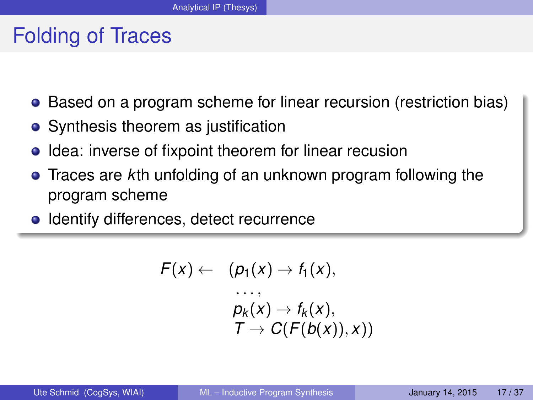### Folding of Traces

- Based on a program scheme for linear recursion (restriction bias)
- Synthesis theorem as justification
- Idea: inverse of fixpoint theorem for linear recusion
- Traces are *k*th unfolding of an unknown program following the program scheme
- Identify differences, detect recurrence

$$
F(x) \leftarrow (p_1(x) \rightarrow f_1(x),
$$
  
\n...,  
\n
$$
p_k(x) \rightarrow f_k(x),
$$
  
\n
$$
T \rightarrow C(F(b(x)), x))
$$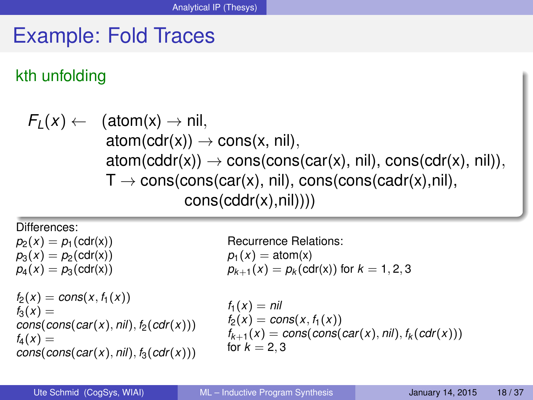### Example: Fold Traces

#### kth unfolding

$$
F_L(x) \leftarrow \begin{array}{c} (\text{atom}(x) \rightarrow \text{nil}, \\ \text{atom}(\text{cdr}(x)) \rightarrow \text{cons}(x, \text{nil}), \\ \text{atom}(\text{cddr}(x)) \rightarrow \text{cons}(\text{cons}(\text{car}(x), \text{nil}), \text{cons}(\text{cdr}(x), \text{nil})), \\ T \rightarrow \text{cons}(\text{cons}(\text{car}(x), \text{nil}), \text{cons}(\text{cons}(\text{cadr}(x), \text{nil}), \\ \text{cons}(\text{cddr}(x), \text{nil})))) \end{array}
$$

Differences:

 $p_2(x) = p_1(\text{cdr}(x))$  $p_3(x) = p_2(\text{cdr}(x))$  $p_4(x) = p_3(cdr(x))$ 

```
f_2(x) = \text{cons}(x, f_1(x))f_3(x) =cons(cons(car(x), nil), f<sub>2</sub>(cdr(x)))f_4(x) =cons(cons(car(x), nil), f_3(cdr(x)))
```
Recurrence Relations:  $p_1(x) = \text{atom}(x)$  $p_{k+1}(x) = p_k(cdr(x))$  for  $k = 1, 2, 3$ 

```
f_1(x) = \frac{ni}{i}f_2(x) = \text{cons}(x, f_1(x))f_{k+1}(x) = \text{cons}(\text{cons}(\text{car}(x), \text{nil}), f_k(\text{cdr}(x)))for k = 2, 3
```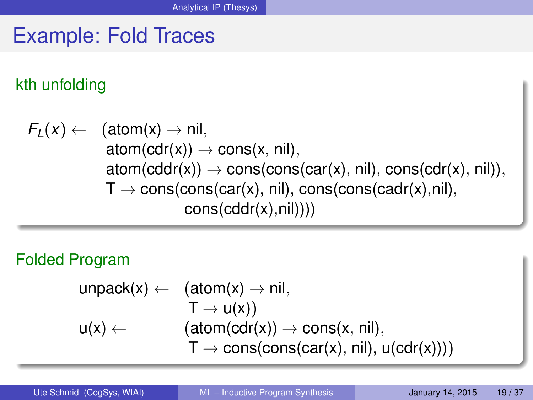# Example: Fold Traces

### kth unfolding

$$
F_L(x) \leftarrow \begin{array}{c} (\text{atom}(x) \rightarrow \text{nil}, \\ \text{atom}(cdr(x)) \rightarrow \text{cons}(x, \text{nil}), \\ \text{atom}(cdr(x)) \rightarrow \text{cons}(\text{cons}(car(x), \text{nil}), \text{cons}(cdr(x), \text{nil})), \\ T \rightarrow \text{cons}(\text{cons}(car(x), \text{nil}), \text{cons}(\text{cons}(cadr(x), \text{nil}), \\ \text{cons}(cddr(x), \text{nil})))) \end{array}
$$

#### Folded Program

$$
\begin{array}{ll}\text{unpack}(x) \leftarrow & \text{(atom}(x) \rightarrow \text{nil},\\ & T \rightarrow u(x))\\ u(x) \leftarrow & \text{(atom(cdr(x))} \rightarrow \text{cons}(x, \text{nil}),\\ & T \rightarrow \text{cons}(\text{cons}(\text{car}(x), \text{nil}), u(\text{cdr}(x))))\end{array}
$$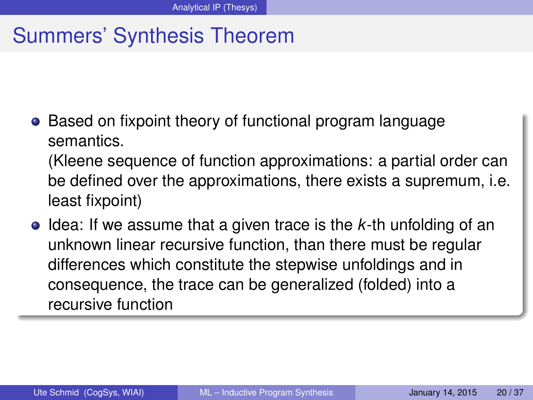## Summers' Synthesis Theorem

• Based on fixpoint theory of functional program language semantics.

(Kleene sequence of function approximations: a partial order can be defined over the approximations, there exists a supremum, i.e. least fixpoint)

**•** Idea: If we assume that a given trace is the *k*-th unfolding of an unknown linear recursive function, than there must be regular differences which constitute the stepwise unfoldings and in consequence, the trace can be generalized (folded) into a recursive function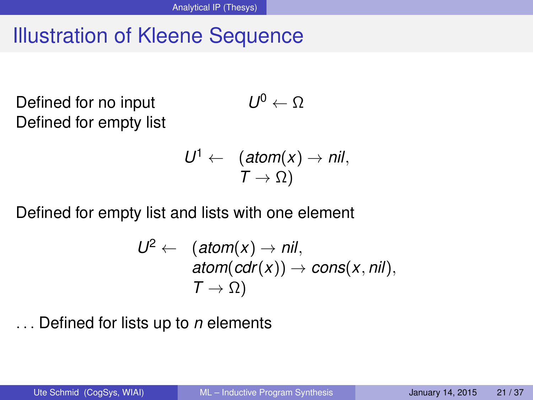## Illustration of Kleene Sequence

Defined for no input Defined for empty list

$$
\textit{U}^0 \leftarrow \Omega
$$

$$
U^1 \leftarrow \quad (\text{atom}(x) \rightarrow \text{nil}, \\ T \rightarrow \Omega)
$$

Defined for empty list and lists with one element

$$
U^2 \leftarrow \begin{array}{l} (\text{atom}(x) \rightarrow \text{nil}, \\ \text{atom}(\text{cdr}(x)) \rightarrow \text{cons}(x, \text{nil}), \\ T \rightarrow \Omega) \end{array}
$$

Defined for lists up to *n* elements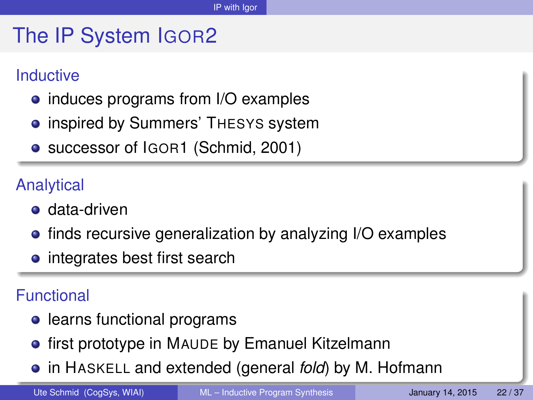## The IP System IGOR2

#### Inductive

- induces programs from I/O examples
- **inspired by Summers' THESYS system**
- successor of IGOR1 (Schmid, 2001)

### Analytical

- **o** data-driven
- **•** finds recursive generalization by analyzing I/O examples
- integrates best first search

#### Functional

- learns functional programs
- **•** first prototype in MAUDE by Emanuel Kitzelmann
- in HASKELL and extended (general *fold*) by M. Hofmann

Ute Schmid (CogSys, WIAI) [ML – Inductive Program Synthesis](#page-0-0) January 14, 2015 22/37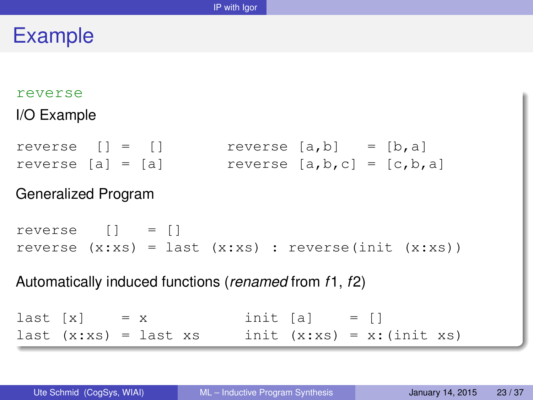### Example

#### reverse

#### I/O Example

reverse  $[] = []$  reverse  $[a,b] = [b,a]$ reverse  $[a] = [a]$  reverse  $[a,b,c] = [c,b,a]$ 

#### Generalized Program

```
reverse [] = []
reverse (x:xs) = last(x:xs): reverse(init (x:xs))
```
#### Automatically induced functions (*renamed* from *f*1, *f*2)

```
last [x] = x init [a] = []last (x:xs) = last xs init (x:xs) = x:(init xs)
```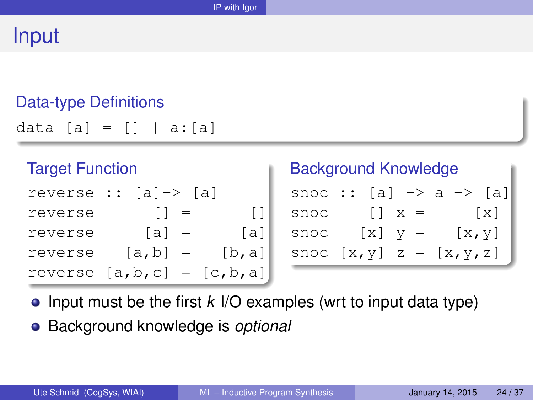### Input

#### Data-type Definitions

data  $[a] = [] | a:[a]$ 

| <b>Target Function</b> |                                     |         |
|------------------------|-------------------------------------|---------|
|                        | reverse :: $[a] \rightarrow [a]$    |         |
| reverse                | $\begin{bmatrix} 1 \end{bmatrix}$ = | $\perp$ |
| reverse                | $[a] =$                             | [a]     |
| reverse                | $[a, b] =$                          | [b, a]  |
|                        | reverse $[a, b, c] = [c, b, a]$     |         |

#### Background Knowledge

|      |             | snoc :: [a] $\rightarrow$ a $\rightarrow$ [a] |  |
|------|-------------|-----------------------------------------------|--|
| snoc | $ x  =$     | $\vert x \vert$                               |  |
| snoc | $ X $ $V =$ | [x, y]                                        |  |
|      |             | snoc $[x, y]$ z = $[x, y, z]$                 |  |

- Input must be the first *k* I/O examples (wrt to input data type)
- Background knowledge is *optional*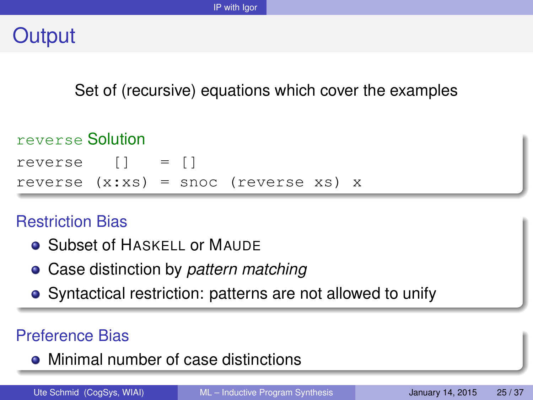### **Output**

Set of (recursive) equations which cover the examples

#### reverse Solution

```
reverse [] = []
reverse (x;xs) = snoc (reverse xs) x
```
#### Restriction Bias

- **Subset of HASKELL OF MAUDE**
- Case distinction by *pattern matching*
- Syntactical restriction: patterns are not allowed to unify

### Preference Bias

• Minimal number of case distinctions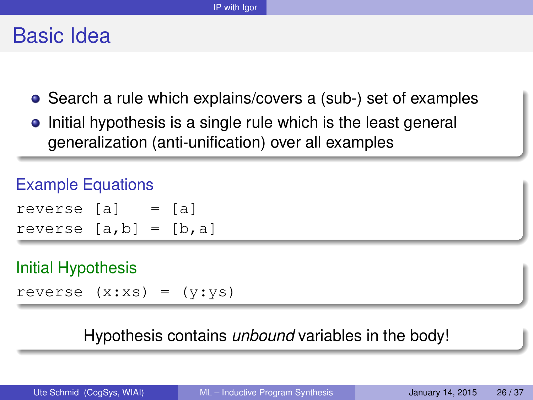### Basic Idea

- Search a rule which explains/covers a (sub-) set of examples
- Initial hypothesis is a single rule which is the least general generalization (anti-unification) over all examples

#### Example Equations

| reverse [a]             |  | $=$ [a] |
|-------------------------|--|---------|
| reverse $[a,b] = [b,a]$ |  |         |

#### Initial Hypothesis

reverse  $(x:xs) = (y:ys)$ 

#### Hypothesis contains *unbound* variables in the body!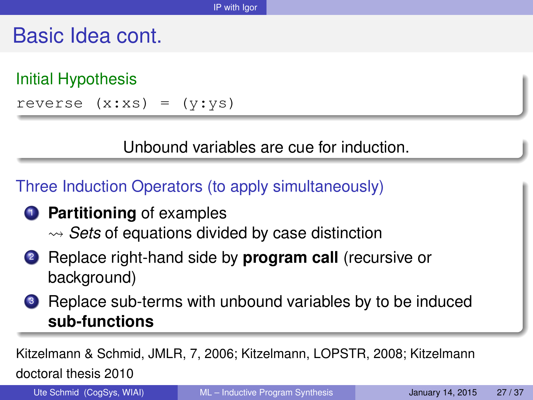### Basic Idea cont.

Initial Hypothesis reverse  $(x:xs) = (y:ys)$ 

Unbound variables are cue for induction.

Three Induction Operators (to apply simultaneously)

- **1** Partitioning of examples  $\rightsquigarrow$  *Sets* of equations divided by case distinction
- <sup>2</sup> Replace right-hand side by **program call** (recursive or background)
- **3** Replace sub-terms with unbound variables by to be induced **sub-functions**

Kitzelmann & Schmid, JMLR, 7, 2006; Kitzelmann, LOPSTR, 2008; Kitzelmann doctoral thesis 2010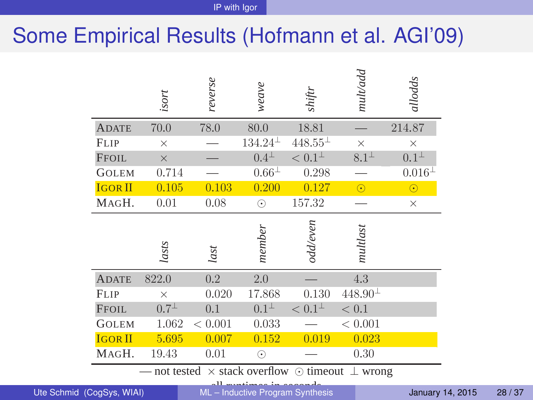## Some Empirical Results (Hofmann et al. AGI'09)

|                           | isort         | reverse | weave                            | shiftr                                             | mult/add       | allodds          |
|---------------------------|---------------|---------|----------------------------------|----------------------------------------------------|----------------|------------------|
| <b>ADATE</b>              | 70.0          | 78.0    | 80.0                             | 18.81                                              |                | 214.87           |
| <b>FLIP</b>               | $\times$      |         | $134.24^{\perp}$                 | $448.55^{\pm}$                                     | $\times$       | $\times$         |
| <b>FFOIL</b>              | $\times$      |         | $0.4^{\perp}$                    | $< 0.1^{\perp}$                                    | $8.1\perp$     | $0.1^{\perp}$    |
| <b>GOLEM</b>              | 0.714         |         | $0.66\perp$                      | 0.298                                              |                | $0.016^{\perp}$  |
| <b>IGOR II</b>            | 0.105         | 0.103   | 0.200                            | 0.127                                              | $\odot$        | $\odot$          |
| MAGH.                     | 0.01          | 0.08    | $\odot$                          | 157.32                                             |                | $\times$         |
|                           | lasts         | last    | member                           | odd/even                                           | multlast       |                  |
| <b>ADATE</b>              | 822.0         | 0.2     | 2.0                              |                                                    | 4.3            |                  |
| <b>FLIP</b>               | $\times$      | 0.020   | 17.868                           | 0.130                                              | $448.90^{\pm}$ |                  |
| <b>FFOIL</b>              | $0.7^{\perp}$ | 0.1     | $0.1^{\perp}$                    | $< 0.1^{\perp}$                                    | < 0.1          |                  |
| <b>GOLEM</b>              | 1.062         | < 0.001 | 0.033                            |                                                    | < 0.001        |                  |
| <b>IGOR II</b>            | 5.695         | 0.007   | 0.152                            | 0.019                                              | 0.023          |                  |
| MAGH.                     | 19.43         | 0.01    | $\odot$                          |                                                    | 0.30           |                  |
|                           |               |         |                                  | not tested $\times$ stack overflow $\odot$ timeout | $\perp$ wrong  |                  |
| Ute Schmid (CogSys, WIAI) |               |         | ML - Inductive Program Synthesis |                                                    |                | January 14, 2015 |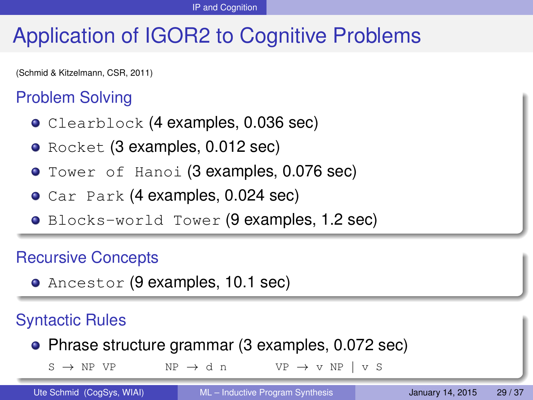# Application of IGOR2 to Cognitive Problems

(Schmid & Kitzelmann, CSR, 2011)

#### Problem Solving

- Clearblock (4 examples, 0.036 sec)
- Rocket (3 examples, 0.012 sec)
- **Tower of Hanoi (3 examples, 0.076 sec)**
- Car Park (4 examples, 0.024 sec)
- Blocks-world Tower (9 examples, 1.2 sec)

#### Recursive Concepts

Ancestor (9 examples, 10.1 sec)

#### Syntactic Rules

Phrase structure grammar (3 examples, 0.072 sec)

 $S \rightarrow NP VP$  NP  $\rightarrow$  d n VP  $\rightarrow$  v NP | v S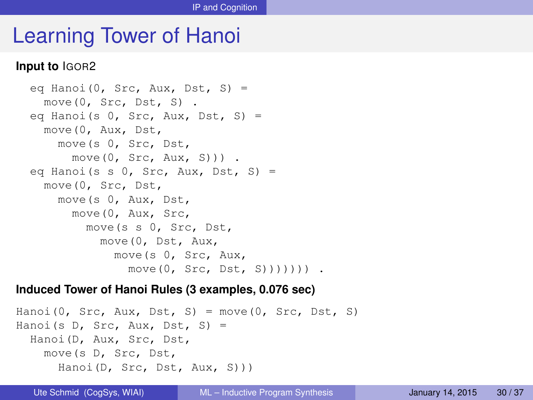### Learning Tower of Hanoi

#### **Input to** IGOR2

```
eq Hanoi(0, Src, Aux, Dst, S) =
 move(0, Src, Dst, S) .
eq Hanoi(s 0, Src, Aux, Dst, S) =
 move(0, Aux, Dst,
   move(s 0, Src, Dst,
     move(0, Src, Aux, S))) .
eq Hanoi(s s 0, Src, Aux, Dst, S) =
 move(0, Src, Dst,
   move(s 0, Aux, Dst,
     move(0, Aux, Src,
        move(s s 0, Src, Dst,
          move(0, Dst, Aux,
            move(s 0, Src, Aux,
              move(0, Src, Dst, S))))))) .
```
#### **Induced Tower of Hanoi Rules (3 examples, 0.076 sec)**

```
Hanoi(0, Src, Aux, Dst, S) = move(0, Src, Dst, S)
Hanoi(s D, Src, Aux, Dst, S) =
 Hanoi(D, Aux, Src, Dst,
   move(s D, Src, Dst,
     Hanoi(D, Src, Dst, Aux, S)))
```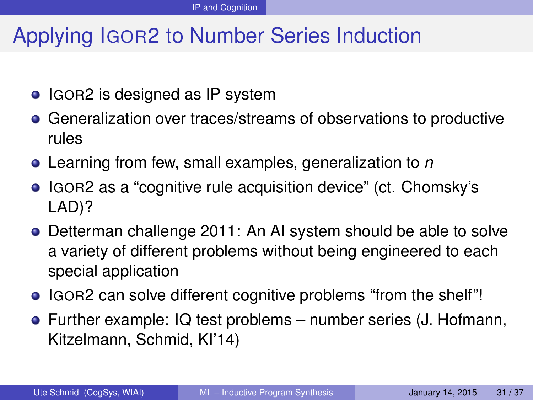# Applying IGOR2 to Number Series Induction

- IGOR2 is designed as IP system
- Generalization over traces/streams of observations to productive rules
- Learning from few, small examples, generalization to *n*
- IGOR2 as a "cognitive rule acquisition device" (ct. Chomsky's LAD)?
- Detterman challenge 2011: An AI system should be able to solve a variety of different problems without being engineered to each special application
- IGOR2 can solve different cognitive problems "from the shelf"!
- Further example: IQ test problems number series (J. Hofmann, Kitzelmann, Schmid, KI'14)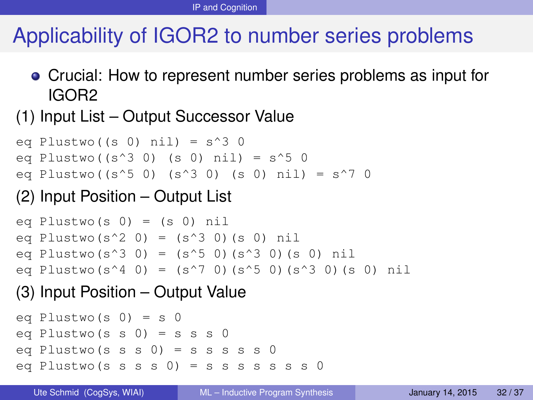# Applicability of IGOR2 to number series problems

Crucial: How to represent number series problems as input for IGOR2

#### (1) Input List – Output Successor Value

eq Plustwo( $(s \ 0)$  nil) =  $s^3$  0 eq Plustwo(( $s^3$  0) (s 0) nil) =  $s^5$  0 eq Plustwo((s^5 0) (s^3 0) (s 0) nil) = s^7 0

#### (2) Input Position – Output List

```
eq Plustwo(s 0) = (s 0) nil
eq Plustwo(s^2 0) = (s^3 0)(s 0) nil
eq Plustwo(s^3 0) = (s^5 0)(s^3 0)(s 0) nil
eq Plustwo(s<sup>\wedge4 0) = (s\wedge7 0)(s\wedge5 0)(s\wedge3 0)(s 0) nil</sup>
```
#### (3) Input Position – Output Value

```
eq Plustwo(s 0) = s 0
eq Plustwo(s s 0) = s s s 0
eq Plustwo(s s s 0) = s s s s s 0
eq Plustwo (s s s 0) = s s s s s s s 0
```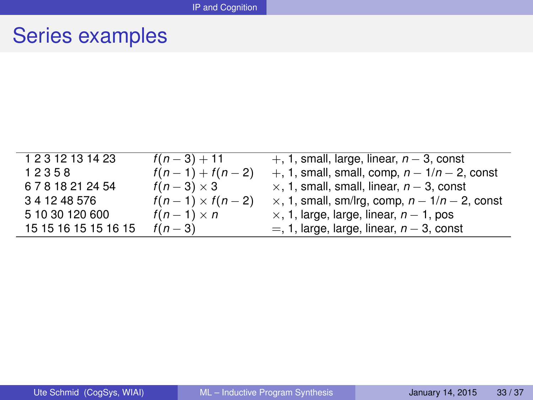### Series examples

| 1 2 3 12 13 14 23             | $f(n-3) + 11$          | $+$ , 1, small, large, linear, $n-3$ , const             |
|-------------------------------|------------------------|----------------------------------------------------------|
| 12358                         | $f(n-1) + f(n-2)$      | +, 1, small, small, comp, $n - 1/n - 2$ , const          |
| 6 7 8 18 21 24 54             | $f(n-3) \times 3$      | $\times$ , 1, small, small, linear, $n-3$ , const        |
| 3 4 12 48 576                 | $f(n-1) \times f(n-2)$ | $\times$ , 1, small, sm/lrg, comp, $n - 1/n - 2$ , const |
| 5 10 30 120 600               | $f(n-1)\times n$       | $\times$ , 1, large, large, linear, $n-1$ , pos          |
| 15 15 16 15 15 16 15 $f(n-3)$ |                        | $=$ , 1, large, large, linear, $n-3$ , const             |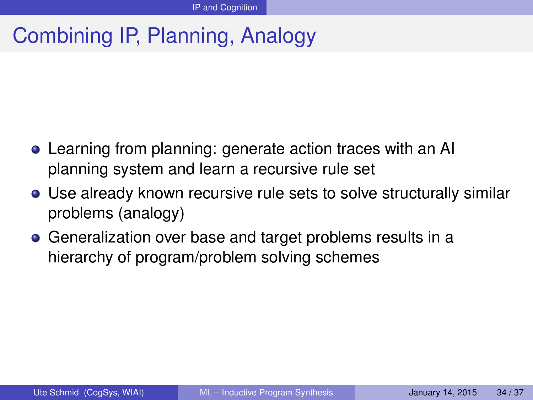# Combining IP, Planning, Analogy

- Learning from planning: generate action traces with an AI planning system and learn a recursive rule set
- Use already known recursive rule sets to solve structurally similar problems (analogy)
- Generalization over base and target problems results in a hierarchy of program/problem solving schemes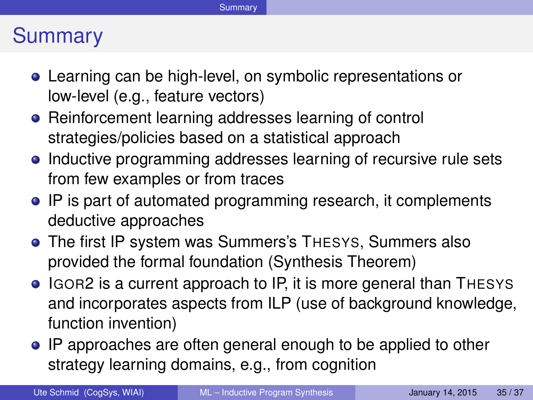### **Summary**

- Learning can be high-level, on symbolic representations or low-level (e.g., feature vectors)
- Reinforcement learning addresses learning of control strategies/policies based on a statistical approach
- Inductive programming addresses learning of recursive rule sets from few examples or from traces
- IP is part of automated programming research, it complements deductive approaches
- The first IP system was Summers's THESYS, Summers also provided the formal foundation (Synthesis Theorem)
- IGOR2 is a current approach to IP, it is more general than THESYS and incorporates aspects from ILP (use of background knowledge, function invention)
- IP approaches are often general enough to be applied to other strategy learning domains, e.g., from cognition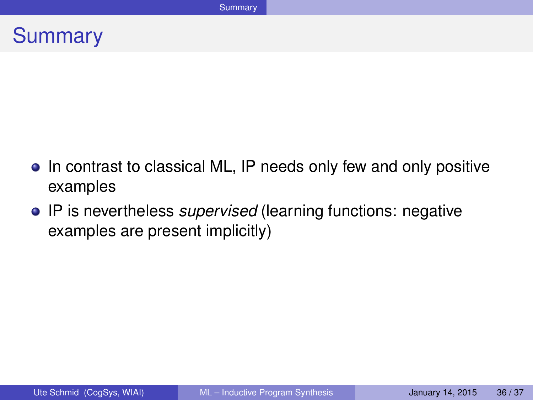### **Summary**

- In contrast to classical ML, IP needs only few and only positive examples
- IP is nevertheless *supervised* (learning functions: negative examples are present implicitly)